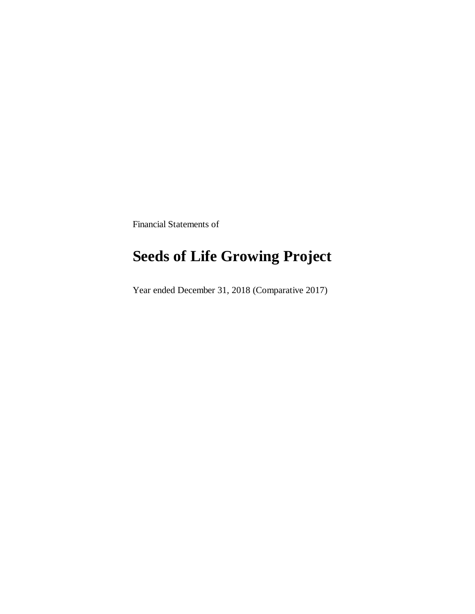Financial Statements of

## **Seeds of Life Growing Project**

Year ended December 31, 2018 (Comparative 2017)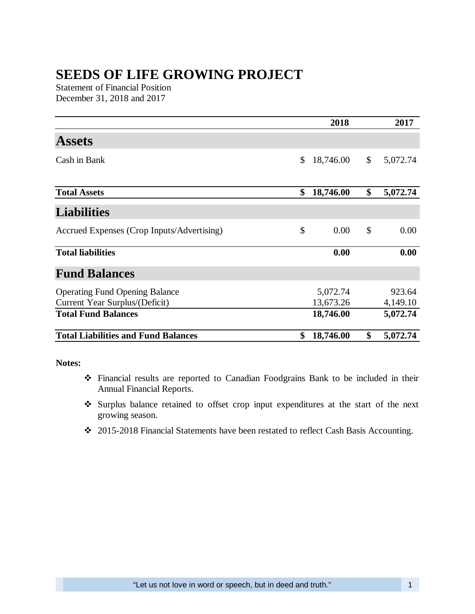## **SEEDS OF LIFE GROWING PROJECT**

Statement of Financial Position December 31, 2018 and 2017

|                                            | 2018            | 2017           |
|--------------------------------------------|-----------------|----------------|
| <b>Assets</b>                              |                 |                |
| Cash in Bank                               | \$<br>18,746.00 | \$<br>5,072.74 |
| <b>Total Assets</b>                        | \$<br>18,746.00 | \$<br>5,072.74 |
| <b>Liabilities</b>                         |                 |                |
| Accrued Expenses (Crop Inputs/Advertising) | \$<br>0.00      | \$<br>0.00     |
| <b>Total liabilities</b>                   | 0.00            | 0.00           |
| <b>Fund Balances</b>                       |                 |                |
| <b>Operating Fund Opening Balance</b>      | 5,072.74        | 923.64         |
| Current Year Surplus/(Deficit)             | 13,673.26       | 4,149.10       |
| <b>Total Fund Balances</b>                 | 18,746.00       | 5,072.74       |
| <b>Total Liabilities and Fund Balances</b> | \$<br>18,746.00 | \$<br>5,072.74 |

**Notes:**

- Financial results are reported to Canadian Foodgrains Bank to be included in their Annual Financial Reports.
- Surplus balance retained to offset crop input expenditures at the start of the next growing season.
- 2015-2018 Financial Statements have been restated to reflect Cash Basis Accounting.